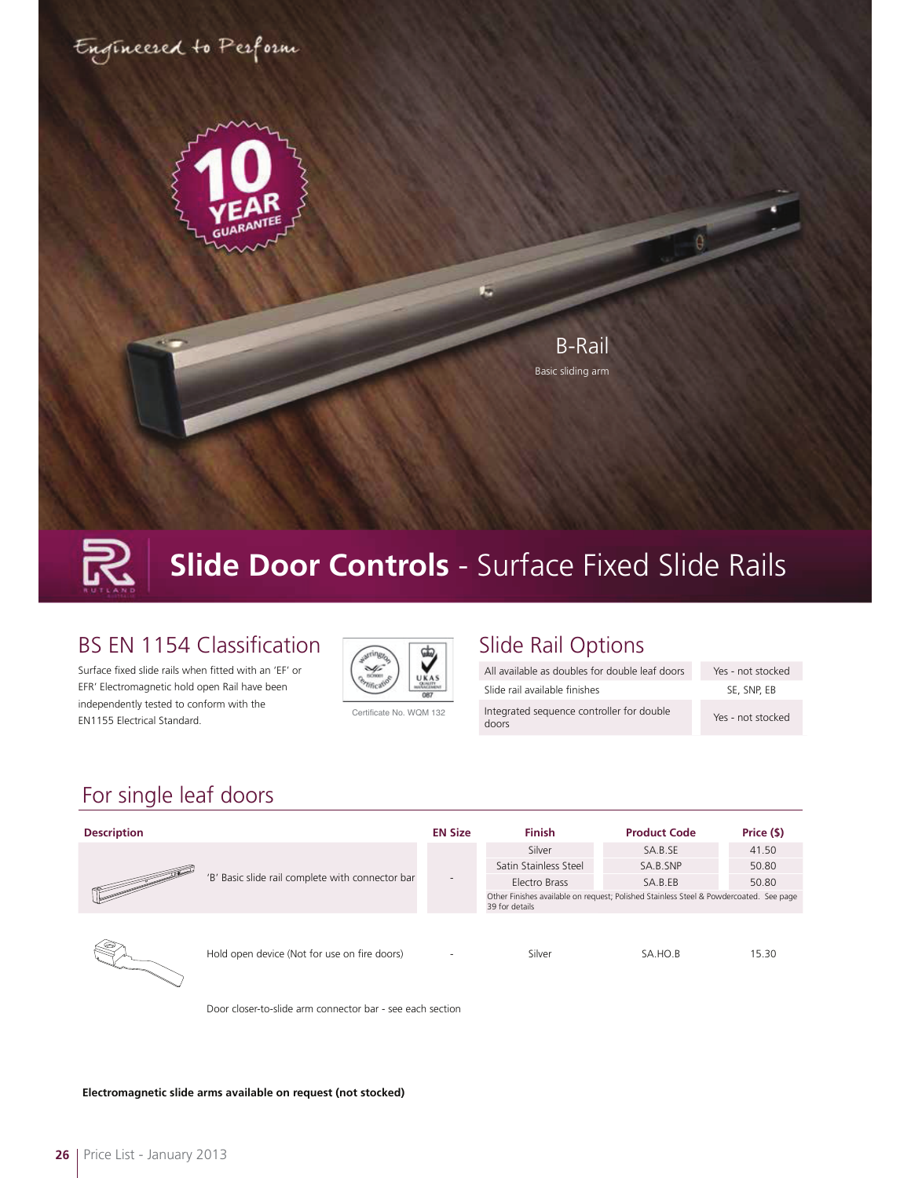

## **Slide Door Controls** - Surface Fixed Slide Rails

#### **BS EN 1154 Classification**

Surface fixed slide rails when fitted with an 'EF' or EFR' Electromagnetic hold open Rail have been independently tested to conform with the EN1155 Electrical Standard.



Certificate No. WQM 132

#### Slide Rail Options

| All available as doubles for double leaf doors     | Yes - not stocked |
|----------------------------------------------------|-------------------|
| Slide rail available finishes                      | SE, SNP, EB       |
| Integrated seguence controller for double<br>doors | Yes - not stocked |

### For single leaf doors

| <b>Description</b>                                                                                                                                                                                                                                                      |                                                  | <b>EN Size</b>           | <b>Finish</b>                                                                                            | <b>Product Code</b> | Price (\$) |
|-------------------------------------------------------------------------------------------------------------------------------------------------------------------------------------------------------------------------------------------------------------------------|--------------------------------------------------|--------------------------|----------------------------------------------------------------------------------------------------------|---------------------|------------|
| $\begin{tabular}{ c c c c } \hline \quad \quad & \quad \quad & \quad \quad & \quad \quad \\ \hline \quad \quad & \quad \quad & \quad \quad \\ \hline \quad \quad & \quad \quad & \quad \quad \\ \hline \quad \quad & \quad \quad & \quad \quad \\ \hline \end{tabular}$ | 'B' Basic slide rail complete with connector bar | $\overline{\phantom{a}}$ | Silver                                                                                                   | SA.B.SE             | 41.50      |
|                                                                                                                                                                                                                                                                         |                                                  |                          | Satin Stainless Steel                                                                                    | SA.B.SNP            | 50.80      |
|                                                                                                                                                                                                                                                                         |                                                  |                          | Electro Brass                                                                                            | SA.B.EB             | 50.80      |
|                                                                                                                                                                                                                                                                         |                                                  |                          | Other Finishes available on request; Polished Stainless Steel & Powdercoated. See page<br>39 for details |                     |            |
|                                                                                                                                                                                                                                                                         | Hold open device (Not for use on fire doors)     | $\overline{\phantom{a}}$ | Silver                                                                                                   | SA.HO.B             | 15.30      |

Door closer-to-slide arm connector bar - see each section



**Electromagnetic slide arms available on request (not stocked)**